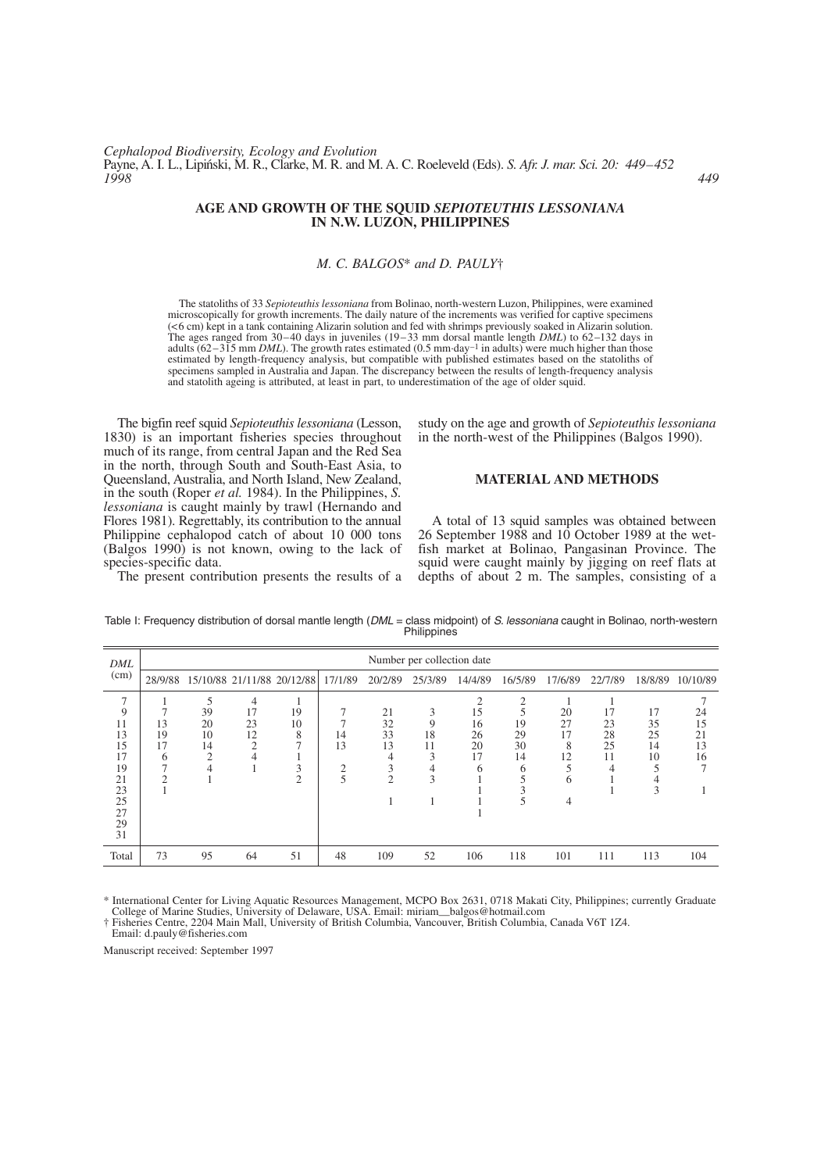# **AGE AND GROWTH OF THE SQUID** *SEPIOTEUTHIS LESSONIANA* **IN N.W. LUZON, PHILIPPINES**

## *M. C. BALGOS*\* *and D. PAULY*†

The statoliths of 33 *Sepioteuthis lessoniana* from Bolinao, north-western Luzon, Philippines, were examined microscopically for growth increments. The daily nature of the increments was verified for captive specimens (<6 cm) kept in a tank containing Alizarin solution and fed with shrimps previously soaked in Alizarin solution. The ages ranged from 30–40 days in juveniles (19–33 mm dorsal mantle length *DML*) to 62–132 days in adults (62–315 mm *DML*). The growth rates estimated (0.5 mm·day<sup>-1</sup> in adults) were much higher than those estimated by length-frequency analysis, but compatible with published estimates based on the statoliths of specimens sampled in Australia and Japan. The discrepancy between the results of length-frequency analysis and statolith ageing is attributed, at least in part, to underestimation of the age of older squid.

The bigfin reef squid *Sepioteuthis lessoniana* (Lesson, 1830) is an important fisheries species throughout much of its range, from central Japan and the Red Sea in the north, through South and South-East Asia, to Queensland, Australia, and North Island, New Zealand, in the south (Roper *et al.* 1984). In the Philippines, *S. lessoniana* is caught mainly by trawl (Hernando and Flores 1981). Regrettably, its contribution to the annual Philippine cephalopod catch of about 10 000 tons (Balgos 1990) is not known, owing to the lack of species-specific data.

The present contribution presents the results of a

study on the age and growth of *Sepioteuthis lessoniana* in the north-west of the Philippines (Balgos 1990).

## **MATERIAL AND METHODS**

A total of 13 squid samples was obtained between 26 September 1988 and 10 October 1989 at the wetfish market at Bolinao, Pangasinan Province. The squid were caught mainly by jigging on reef flats at depths of about 2 m. The samples, consisting of a

| DML<br>(cm)                                                                           | Number per collection date    |                                                  |                                            |                            |                                 |                                            |                                   |                                 |                                     |                                     |                            |                                 |                            |
|---------------------------------------------------------------------------------------|-------------------------------|--------------------------------------------------|--------------------------------------------|----------------------------|---------------------------------|--------------------------------------------|-----------------------------------|---------------------------------|-------------------------------------|-------------------------------------|----------------------------|---------------------------------|----------------------------|
|                                                                                       | 28/9/88                       |                                                  |                                            | 15/10/88 21/11/88 20/12/88 | 17/1/89                         | 20/2/89                                    | 25/3/89                           | 14/4/89                         | 16/5/89                             | 17/6/89                             | 22/7/89                    | 18/8/89                         | 10/10/89                   |
| $\overline{7}$<br>9<br>11<br>13<br>15<br>17<br>19<br>21<br>23<br>25<br>27<br>29<br>31 | 7<br>13<br>19<br>17<br>6<br>◠ | 5<br>39<br>20<br>10<br>14<br>$\overline{2}$<br>4 | 4<br>17<br>23<br>12<br>$\mathfrak{D}$<br>4 | 19<br>10<br>8              | 14<br>13<br>$\bigcap$<br>∠<br>5 | 21<br>32<br>33<br>13<br>3<br>$\mathcal{D}$ | 3<br>9<br>18<br>11<br>3<br>4<br>3 | 15<br>16<br>26<br>20<br>17<br>6 | 2<br>5<br>19<br>29<br>30<br>14<br>6 | 20<br>27<br>17<br>8<br>12<br>6<br>4 | 17<br>23<br>28<br>25<br>11 | 17<br>35<br>25<br>14<br>10<br>3 | 24<br>15<br>21<br>13<br>16 |
| Total                                                                                 | 73                            | 95                                               | 64                                         | 51                         | 48                              | 109                                        | 52                                | 106                             | 118                                 | 101                                 | 111                        | 113                             | 104                        |

Table I: Frequency distribution of dorsal mantle length (*DML* = class midpoint) of *S. lessoniana* caught in Bolinao, north-western **Philippines** 

\* International Center for Living Aquatic Resources Management, MCPO Box 2631, 0718 Makati City, Philippines; currently Graduate College of Marine Studies, University of Delaware, USA. Email: miriam—balgos@hotmail.com

† Fisheries Centre, 2204 Main Mall, University of British Columbia, Vancouver, British Columbia, Canada V6T 1Z4.

Email: d.pauly@fisheries.com

Manuscript received: September 1997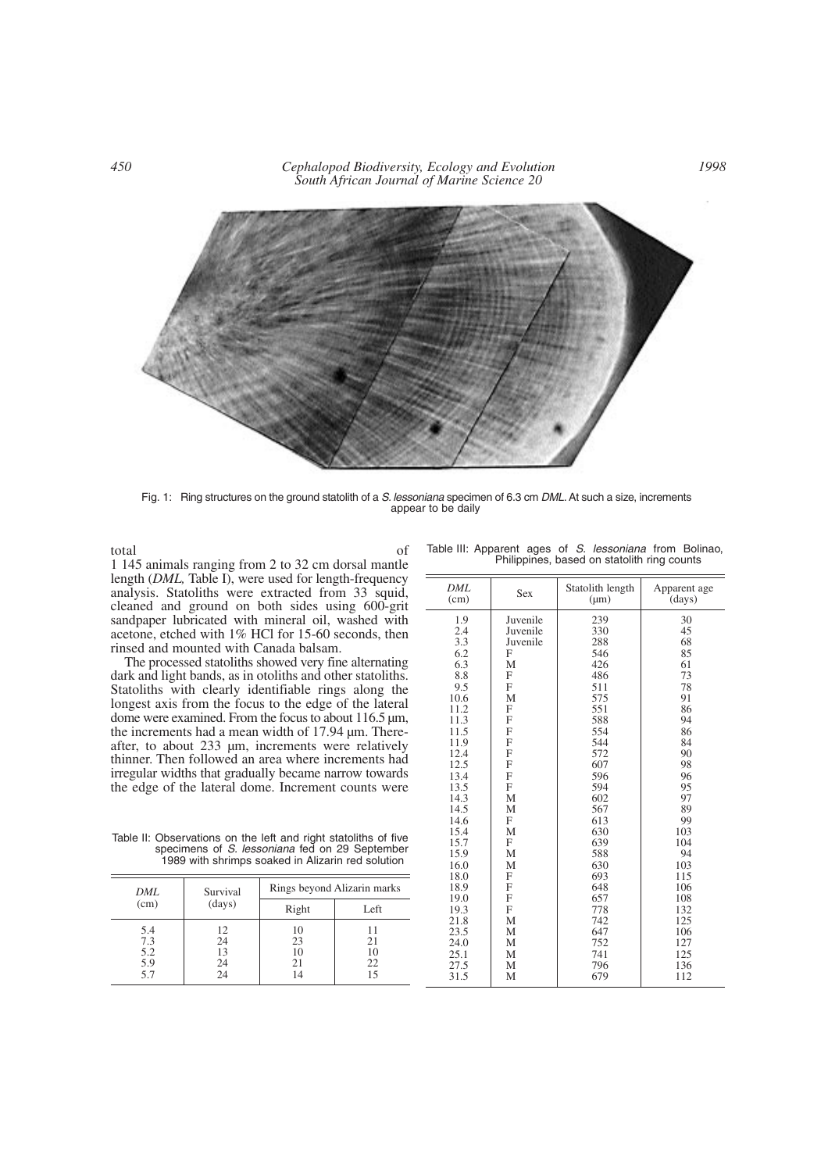*450 Cephalopod Biodiversity, Ecology and Evolution South African Journal of Marine Science 20*



Fig. 1: Ring structures on the ground statolith of a *S. lessoniana* specimen of 6.3 cm *DML*. At such a size, increments appear to be daily

total of 1 145 animals ranging from 2 to 32 cm dorsal mantle length (*DML,* Table I), were used for length-frequency analysis. Statoliths were extracted from 33 squid, cleaned and ground on both sides using 600-grit sandpaper lubricated with mineral oil, washed with acetone, etched with 1% HCl for 15-60 seconds, then rinsed and mounted with Canada balsam.

The processed statoliths showed very fine alternating dark and light bands, as in otoliths and other statoliths. Statoliths with clearly identifiable rings along the longest axis from the focus to the edge of the lateral dome were examined. From the focus to about 116.5 µm, the increments had a mean width of 17.94 µm. Thereafter, to about 233 µm, increments were relatively thinner. Then followed an area where increments had irregular widths that gradually became narrow towards the edge of the lateral dome. Increment counts were

Table II: Observations on the left and right statoliths of five specimens of *S. lessoniana* fed on 29 September 1989 with shrimps soaked in Alizarin red solution

| DML                             | Survival<br>(days)         | Rings beyond Alizarin marks |                      |  |  |  |  |  |
|---------------------------------|----------------------------|-----------------------------|----------------------|--|--|--|--|--|
| (cm)                            |                            | Right                       | Left                 |  |  |  |  |  |
| 5.4<br>7.3<br>5.2<br>5.9<br>5.7 | 12<br>24<br>13<br>24<br>24 | 10<br>23<br>10<br>21<br>14  | 21<br>10<br>22<br>15 |  |  |  |  |  |

|  | ٠   |         |
|--|-----|---------|
|  | . . | I<br>۰. |

| DML<br>(cm) | <b>Sex</b> | Statolith length<br>$(\mu m)$ | Apparent age<br>(days) |  |
|-------------|------------|-------------------------------|------------------------|--|
| 1.9         | Juvenile   | 239                           | 30                     |  |
| 2.4         | Juvenile   | 330                           | 45                     |  |
| 3.3         | Juvenile   | 288                           | 68                     |  |
| 6.2         | F          | 546                           | 85                     |  |
| 6.3         | M          | 426                           | 61                     |  |
| 8.8         | F          | 486                           | 73                     |  |
| 9.5         | F          | 511                           | 78                     |  |
| 10.6        | M          | 575                           | 91                     |  |
| 11.2        | F          | 551                           | 86                     |  |
| 11.3        | F          | 588                           | 94                     |  |
| 11.5        | F          | 554                           | 86                     |  |
| 11.9        | F          | 544                           | 84                     |  |
| 12.4        | F          | 572                           | 90                     |  |
| 12.5        | F          | 607                           | 98                     |  |
| 13.4        | F          | 596                           | 96                     |  |
| 13.5        | F          | 594                           | 95                     |  |
| 14.3        | M          | 602                           | 97                     |  |
| 14.5        | M          | 567                           | 89                     |  |
| 14.6        | F          | 613                           | 99                     |  |
| 15.4        | M          | 630                           | 103                    |  |
| 15.7        | F          | 639                           | 104                    |  |
| 15.9        | M          | 588                           | 94                     |  |
| 16.0        | M          | 630                           | 103                    |  |
| 18.0        | F          | 693                           | 115                    |  |
| 18.9        | F          | 648                           | 106                    |  |
| 19.0        | F          | 657                           | 108                    |  |
| 19.3        | F          | 778                           | 132                    |  |
| 21.8        | М          | 742                           | 125                    |  |
| 23.5        | М          | 647                           | 106                    |  |
| 24.0        | М          | 752                           | 127                    |  |
| 25.1        | М          | 741                           | 125                    |  |
| 27.5        | M          | 796                           | 136                    |  |
| 31.5        | M          | 679                           | 112                    |  |

Table III: Apparent ages of *S. lessoniana* from Bolinao, Philippines, based on statolith ring counts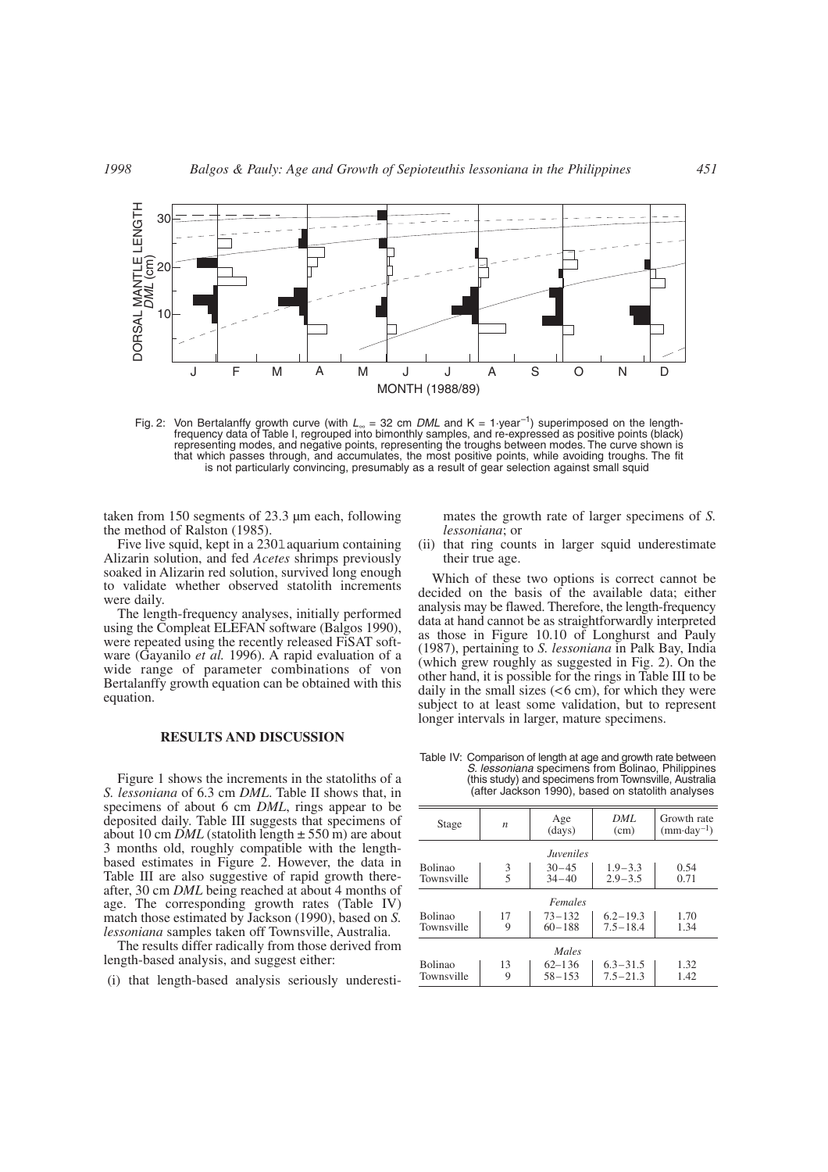

Fig. 2: Von Bertalanffy growth curve (with *L*<sup>∞</sup> = 32 cm *DML* and K = 1·year–1) superimposed on the lengthfrequency data of Table I, regrouped into bimonthly samples, and re-expressed as positive points (black) representing modes, and negative points, representing the troughs between modes. The curve shown is that which passes through, and accumulates, the most positive points, while avoiding troughs. The fit is not particularly convincing, presumably as a result of gear selection against small squid

taken from 150 segments of 23.3 µm each, following the method of Ralston (1985).

Five live squid, kept in a 2301 aquarium containing Alizarin solution, and fed *Acetes* shrimps previously soaked in Alizarin red solution, survived long enough to validate whether observed statolith increments were daily.

The length-frequency analyses, initially performed using the Compleat ELEFAN software (Balgos 1990), were repeated using the recently released FiSAT software (Gayanilo *et al.* 1996). A rapid evaluation of a wide range of parameter combinations of von Bertalanffy growth equation can be obtained with this equation.

### **RESULTS AND DISCUSSION**

Figure 1 shows the increments in the statoliths of a *S. lessoniana* of 6.3 cm *DML*. Table II shows that, in specimens of about 6 cm *DML*, rings appear to be deposited daily. Table III suggests that specimens of about 10 cm *DML* (statolith length  $\pm$  550 m) are about 3 months old, roughly compatible with the lengthbased estimates in Figure 2. However, the data in Table III are also suggestive of rapid growth thereafter, 30 cm *DML* being reached at about 4 months of age. The corresponding growth rates (Table IV) match those estimated by Jackson (1990), based on *S. lessoniana* samples taken off Townsville, Australia.

The results differ radically from those derived from length-based analysis, and suggest either:

i(i) that length-based analysis seriously underesti-

mates the growth rate of larger specimens of *S. lessoniana*; or

(ii) that ring counts in larger squid underestimate their true age.

Which of these two options is correct cannot be decided on the basis of the available data; either analysis may be flawed. Therefore, the length-frequency data at hand cannot be as straightforwardly interpreted as those in Figure 10.10 of Longhurst and Pauly (1987), pertaining to *S. lessoniana* in Palk Bay, India (which grew roughly as suggested in Fig. 2). On the other hand, it is possible for the rings in Table III to be daily in the small sizes  $( $6 \text{ cm}$ ), for which they were$ subject to at least some validation, but to represent longer intervals in larger, mature specimens.

Table IV: Comparison of length at age and growth rate between *S. lessoniana* specimens from Bolinao, Philippines (this study) and specimens from Townsville, Australia (after Jackson 1990), based on statolith analyses

| Stage                          | $\boldsymbol{n}$ | Age<br>(days)            | DML<br>(cm)                  | Growth rate<br>$(mm \cdot day^{-1})$ |  |  |  |  |
|--------------------------------|------------------|--------------------------|------------------------------|--------------------------------------|--|--|--|--|
| <i><u><b>Juveniles</b></u></i> |                  |                          |                              |                                      |  |  |  |  |
| <b>Bolinao</b><br>Townsville   | $\frac{3}{5}$    | $30 - 45$<br>$34 - 40$   | $1.9 - 3.3$<br>$2.9 - 3.5$   | 0.54<br>0.71                         |  |  |  |  |
| Females                        |                  |                          |                              |                                      |  |  |  |  |
| <b>Bolinao</b><br>Townsville   | 17<br>9          | $73 - 132$<br>$60 - 188$ | $6.2 - 19.3$<br>$7.5 - 18.4$ | 1.70<br>1.34                         |  |  |  |  |
| Males                          |                  |                          |                              |                                      |  |  |  |  |
| <b>Bolinao</b><br>Townsville   | 13<br>9          | $62 - 136$<br>$58 - 153$ | $6.3 - 31.5$<br>$7.5 - 21.3$ | 1.32<br>1.42                         |  |  |  |  |